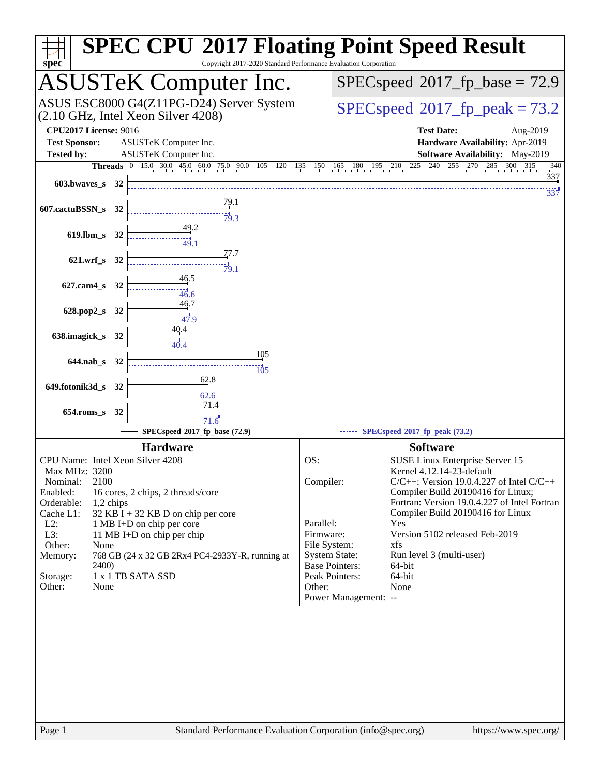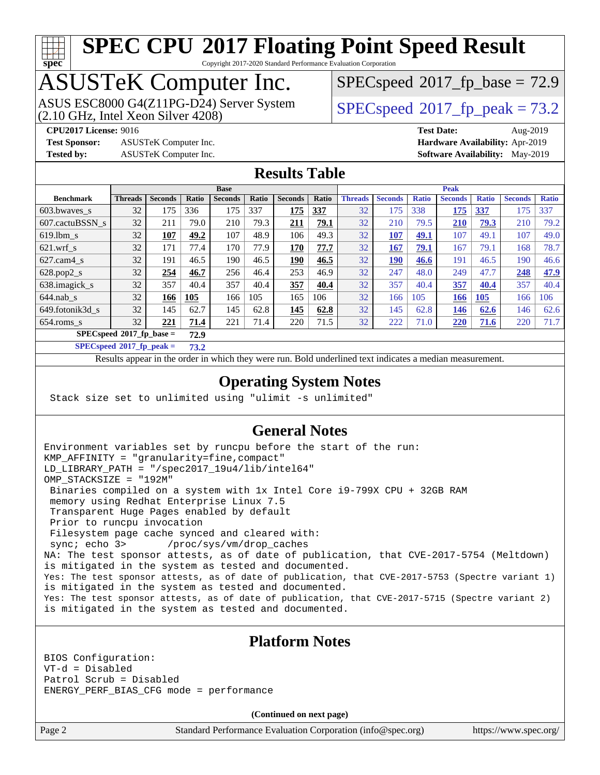# **[spec](http://www.spec.org/)**

# **[SPEC CPU](http://www.spec.org/auto/cpu2017/Docs/result-fields.html#SPECCPU2017FloatingPointSpeedResult)[2017 Floating Point Speed Result](http://www.spec.org/auto/cpu2017/Docs/result-fields.html#SPECCPU2017FloatingPointSpeedResult)**

Copyright 2017-2020 Standard Performance Evaluation Corporation

# ASUSTeK Computer Inc.

(2.10 GHz, Intel Xeon Silver 4208) ASUS ESC8000 G4(Z11PG-D24) Server System  $\big|$  [SPECspeed](http://www.spec.org/auto/cpu2017/Docs/result-fields.html#SPECspeed2017fppeak)®[2017\\_fp\\_peak = 7](http://www.spec.org/auto/cpu2017/Docs/result-fields.html#SPECspeed2017fppeak)3.2

 $SPECspeed*2017_fp\_base = 72.9$  $SPECspeed*2017_fp\_base = 72.9$ 

**[Test Sponsor:](http://www.spec.org/auto/cpu2017/Docs/result-fields.html#TestSponsor)** ASUSTeK Computer Inc. **[Hardware Availability:](http://www.spec.org/auto/cpu2017/Docs/result-fields.html#HardwareAvailability)** Apr-2019

**[CPU2017 License:](http://www.spec.org/auto/cpu2017/Docs/result-fields.html#CPU2017License)** 9016 **[Test Date:](http://www.spec.org/auto/cpu2017/Docs/result-fields.html#TestDate)** Aug-2019 **[Tested by:](http://www.spec.org/auto/cpu2017/Docs/result-fields.html#Testedby)** ASUSTeK Computer Inc. **[Software Availability:](http://www.spec.org/auto/cpu2017/Docs/result-fields.html#SoftwareAvailability)** May-2019

### **[Results Table](http://www.spec.org/auto/cpu2017/Docs/result-fields.html#ResultsTable)**

|                                    | <b>Base</b>    |                |              |                |       | <b>Peak</b>    |       |                |                |              |                |              |                |              |
|------------------------------------|----------------|----------------|--------------|----------------|-------|----------------|-------|----------------|----------------|--------------|----------------|--------------|----------------|--------------|
| <b>Benchmark</b>                   | <b>Threads</b> | <b>Seconds</b> | <b>Ratio</b> | <b>Seconds</b> | Ratio | <b>Seconds</b> | Ratio | <b>Threads</b> | <b>Seconds</b> | <b>Ratio</b> | <b>Seconds</b> | <b>Ratio</b> | <b>Seconds</b> | <b>Ratio</b> |
| 603.bwayes_s                       | 32             | 175            | 336          | 175            | 337   | 175            | 337   | 32             | 175            | 338          | 175            | 337          | 175            | 337          |
| 607.cactuBSSN s                    | 32             | 211            | 79.0         | 210            | 79.3  | 211            | 79.1  | 32             | 210            | 79.5         | 210            | 79.3         | 210            | 79.2         |
| $619.1$ bm s                       | 32             | 107            | 49.2         | 107            | 48.9  | 106            | 49.3  | 32             | 107            | 49.1         | 107            | 49.1         | 107            | 49.0         |
| $621$ .wrf s                       | 32             | 171            | 77.4         | 170            | 77.9  | 170            | 77.7  | 32             | 167            | 79.1         | 167            | 79.1         | 168            | 78.7         |
| $627$ .cam4 s                      | 32             | 191            | 46.5         | 190            | 46.5  | 190            | 46.5  | 32             | <b>190</b>     | 46.6         | 191            | 46.5         | 190            | 46.6         |
| $628.pop2_s$                       | 32             | 254            | 46.7         | 256            | 46.4  | 253            | 46.9  | 32             | 247            | 48.0         | 249            | 47.7         | 248            | 47.9         |
| 638.imagick_s                      | 32             | 357            | 40.4         | 357            | 40.4  | 357            | 40.4  | 32             | 357            | 40.4         | 357            | 40.4         | 357            | 40.4         |
| $644$ .nab s                       | 32             | 166            | 105          | 166            | 105   | 165            | 106   | 32             | 166            | 105          | 166            | 105          | 166            | 106          |
| 649.fotonik3d s                    | 32             | 145            | 62.7         | 145            | 62.8  | 145            | 62.8  | 32             | 145            | 62.8         | <b>146</b>     | 62.6         | 146            | 62.6         |
| $654$ .roms s                      | 32             | 221            | 71.4         | 221            | 71.4  | 220            | 71.5  | 32             | 222            | 71.0         | 220            | 71.6         | 220            | 71.7         |
| $SPECspeed*2017$ fp base =<br>72.9 |                |                |              |                |       |                |       |                |                |              |                |              |                |              |

**[SPECspeed](http://www.spec.org/auto/cpu2017/Docs/result-fields.html#SPECspeed2017fppeak)[2017\\_fp\\_peak =](http://www.spec.org/auto/cpu2017/Docs/result-fields.html#SPECspeed2017fppeak) 73.2**

Results appear in the [order in which they were run.](http://www.spec.org/auto/cpu2017/Docs/result-fields.html#RunOrder) Bold underlined text [indicates a median measurement](http://www.spec.org/auto/cpu2017/Docs/result-fields.html#Median).

### **[Operating System Notes](http://www.spec.org/auto/cpu2017/Docs/result-fields.html#OperatingSystemNotes)**

Stack size set to unlimited using "ulimit -s unlimited"

### **[General Notes](http://www.spec.org/auto/cpu2017/Docs/result-fields.html#GeneralNotes)**

Environment variables set by runcpu before the start of the run: KMP\_AFFINITY = "granularity=fine,compact" LD\_LIBRARY\_PATH = "/spec2017\_19u4/lib/intel64" OMP\_STACKSIZE = "192M" Binaries compiled on a system with 1x Intel Core i9-799X CPU + 32GB RAM memory using Redhat Enterprise Linux 7.5 Transparent Huge Pages enabled by default Prior to runcpu invocation Filesystem page cache synced and cleared with: sync; echo 3> /proc/sys/vm/drop\_caches NA: The test sponsor attests, as of date of publication, that CVE-2017-5754 (Meltdown) is mitigated in the system as tested and documented. Yes: The test sponsor attests, as of date of publication, that CVE-2017-5753 (Spectre variant 1) is mitigated in the system as tested and documented. Yes: The test sponsor attests, as of date of publication, that CVE-2017-5715 (Spectre variant 2) is mitigated in the system as tested and documented.

#### **[Platform Notes](http://www.spec.org/auto/cpu2017/Docs/result-fields.html#PlatformNotes)**

BIOS Configuration: VT-d = Disabled Patrol Scrub = Disabled ENERGY\_PERF\_BIAS\_CFG mode = performance

**(Continued on next page)**

Page 2 Standard Performance Evaluation Corporation [\(info@spec.org\)](mailto:info@spec.org) <https://www.spec.org/>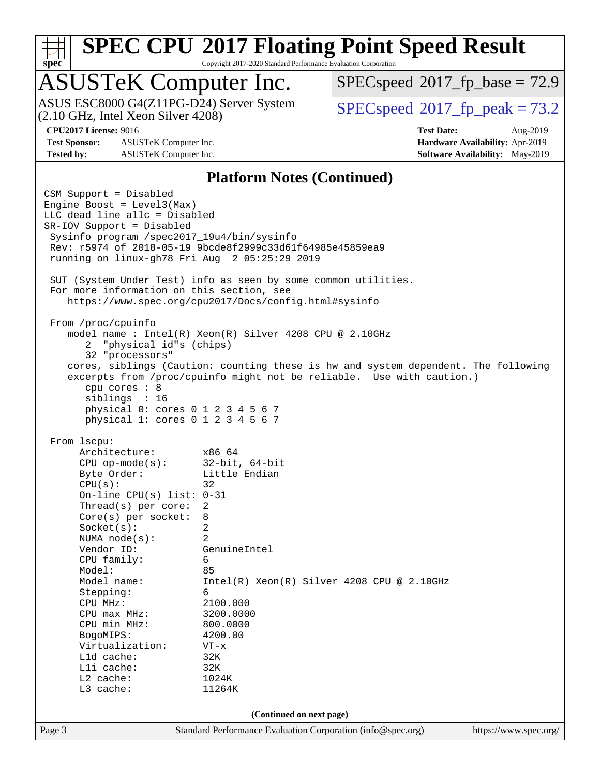# **[spec](http://www.spec.org/)**

# **[SPEC CPU](http://www.spec.org/auto/cpu2017/Docs/result-fields.html#SPECCPU2017FloatingPointSpeedResult)[2017 Floating Point Speed Result](http://www.spec.org/auto/cpu2017/Docs/result-fields.html#SPECCPU2017FloatingPointSpeedResult)**

Copyright 2017-2020 Standard Performance Evaluation Corporation

# ASUSTeK Computer Inc.

(2.10 GHz, Intel Xeon Silver 4208) ASUS ESC8000 G4(Z11PG-D24) Server System  $\big|$  [SPECspeed](http://www.spec.org/auto/cpu2017/Docs/result-fields.html#SPECspeed2017fppeak)®[2017\\_fp\\_peak = 7](http://www.spec.org/auto/cpu2017/Docs/result-fields.html#SPECspeed2017fppeak)3.2

 $SPECspeed*2017_fp\_base = 72.9$  $SPECspeed*2017_fp\_base = 72.9$ 

**[Test Sponsor:](http://www.spec.org/auto/cpu2017/Docs/result-fields.html#TestSponsor)** ASUSTeK Computer Inc. **[Hardware Availability:](http://www.spec.org/auto/cpu2017/Docs/result-fields.html#HardwareAvailability)** Apr-2019 **[Tested by:](http://www.spec.org/auto/cpu2017/Docs/result-fields.html#Testedby)** ASUSTeK Computer Inc. **[Software Availability:](http://www.spec.org/auto/cpu2017/Docs/result-fields.html#SoftwareAvailability)** May-2019

**[CPU2017 License:](http://www.spec.org/auto/cpu2017/Docs/result-fields.html#CPU2017License)** 9016 **[Test Date:](http://www.spec.org/auto/cpu2017/Docs/result-fields.html#TestDate)** Aug-2019

#### **[Platform Notes \(Continued\)](http://www.spec.org/auto/cpu2017/Docs/result-fields.html#PlatformNotes)**

Page 3 Standard Performance Evaluation Corporation [\(info@spec.org\)](mailto:info@spec.org) <https://www.spec.org/> CSM Support = Disabled Engine Boost = Level3(Max) LLC dead line allc = Disabled SR-IOV Support = Disabled Sysinfo program /spec2017\_19u4/bin/sysinfo Rev: r5974 of 2018-05-19 9bcde8f2999c33d61f64985e45859ea9 running on linux-gh78 Fri Aug 2 05:25:29 2019 SUT (System Under Test) info as seen by some common utilities. For more information on this section, see <https://www.spec.org/cpu2017/Docs/config.html#sysinfo> From /proc/cpuinfo model name : Intel(R) Xeon(R) Silver 4208 CPU @ 2.10GHz 2 "physical id"s (chips) 32 "processors" cores, siblings (Caution: counting these is hw and system dependent. The following excerpts from /proc/cpuinfo might not be reliable. Use with caution.) cpu cores : 8 siblings : 16 physical 0: cores 0 1 2 3 4 5 6 7 physical 1: cores 0 1 2 3 4 5 6 7 From lscpu: Architecture: x86\_64 CPU op-mode(s): 32-bit, 64-bit Byte Order: Little Endian  $CPU(s):$  32 On-line CPU(s) list: 0-31 Thread(s) per core: 2 Core(s) per socket: 8 Socket(s): 2 NUMA node(s): 2 Vendor ID: GenuineIntel CPU family: 6 Model: 85 Model name: Intel(R) Xeon(R) Silver 4208 CPU @ 2.10GHz Stepping: 6 CPU MHz: 2100.000 CPU max MHz: 3200.0000<br>CPU min MHz: 800.0000 CPU min MHz: BogoMIPS: 4200.00<br>Virtualization: VT-x Virtualization: L1d cache: 32K<br>
L1i cache: 32K  $L1i$  cache: L2 cache: 1024K L3 cache: 11264K **(Continued on next page)**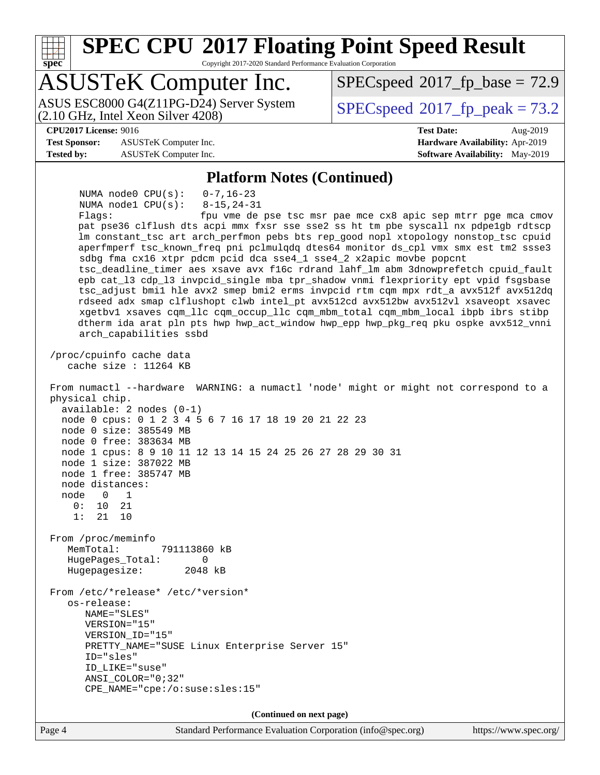**[SPEC CPU](http://www.spec.org/auto/cpu2017/Docs/result-fields.html#SPECCPU2017FloatingPointSpeedResult)[2017 Floating Point Speed Result](http://www.spec.org/auto/cpu2017/Docs/result-fields.html#SPECCPU2017FloatingPointSpeedResult)** Copyright 2017-2020 Standard Performance Evaluation Corporation

# ASUSTeK Computer Inc.

(2.10 GHz, Intel Xeon Silver 4208) ASUS ESC8000 G4(Z11PG-D24) Server System  $\vert$  [SPECspeed](http://www.spec.org/auto/cpu2017/Docs/result-fields.html#SPECspeed2017fppeak)®[2017\\_fp\\_peak = 7](http://www.spec.org/auto/cpu2017/Docs/result-fields.html#SPECspeed2017fppeak)3.2

 $SPECspeed*2017_fp\_base = 72.9$  $SPECspeed*2017_fp\_base = 72.9$ 

#### **[CPU2017 License:](http://www.spec.org/auto/cpu2017/Docs/result-fields.html#CPU2017License)** 9016 **[Test Date:](http://www.spec.org/auto/cpu2017/Docs/result-fields.html#TestDate)** Aug-2019

**[spec](http://www.spec.org/)**

**[Test Sponsor:](http://www.spec.org/auto/cpu2017/Docs/result-fields.html#TestSponsor)** ASUSTeK Computer Inc. **[Hardware Availability:](http://www.spec.org/auto/cpu2017/Docs/result-fields.html#HardwareAvailability)** Apr-2019 **[Tested by:](http://www.spec.org/auto/cpu2017/Docs/result-fields.html#Testedby)** ASUSTeK Computer Inc. **[Software Availability:](http://www.spec.org/auto/cpu2017/Docs/result-fields.html#SoftwareAvailability)** May-2019

#### **[Platform Notes \(Continued\)](http://www.spec.org/auto/cpu2017/Docs/result-fields.html#PlatformNotes)**

 NUMA node0 CPU(s): 0-7,16-23 NUMA node1 CPU(s): 8-15,24-31 Flags: fpu vme de pse tsc msr pae mce cx8 apic sep mtrr pge mca cmov pat pse36 clflush dts acpi mmx fxsr sse sse2 ss ht tm pbe syscall nx pdpe1gb rdtscp lm constant\_tsc art arch\_perfmon pebs bts rep\_good nopl xtopology nonstop\_tsc cpuid aperfmperf tsc\_known\_freq pni pclmulqdq dtes64 monitor ds\_cpl vmx smx est tm2 ssse3 sdbg fma cx16 xtpr pdcm pcid dca sse4\_1 sse4\_2 x2apic movbe popcnt tsc\_deadline\_timer aes xsave avx f16c rdrand lahf\_lm abm 3dnowprefetch cpuid\_fault epb cat\_l3 cdp\_l3 invpcid\_single mba tpr\_shadow vnmi flexpriority ept vpid fsgsbase tsc\_adjust bmi1 hle avx2 smep bmi2 erms invpcid rtm cqm mpx rdt\_a avx512f avx512dq rdseed adx smap clflushopt clwb intel\_pt avx512cd avx512bw avx512vl xsaveopt xsavec xgetbv1 xsaves cqm\_llc cqm\_occup\_llc cqm\_mbm\_total cqm\_mbm\_local ibpb ibrs stibp dtherm ida arat pln pts hwp hwp\_act\_window hwp\_epp hwp\_pkg\_req pku ospke avx512\_vnni arch\_capabilities ssbd /proc/cpuinfo cache data cache size : 11264 KB From numactl --hardware WARNING: a numactl 'node' might or might not correspond to a physical chip. available: 2 nodes (0-1) node 0 cpus: 0 1 2 3 4 5 6 7 16 17 18 19 20 21 22 23 node 0 size: 385549 MB node 0 free: 383634 MB node 1 cpus: 8 9 10 11 12 13 14 15 24 25 26 27 28 29 30 31 node 1 size: 387022 MB node 1 free: 385747 MB node distances: node 0 1 0: 10 21 1: 21 10 From /proc/meminfo MemTotal: 791113860 kB HugePages\_Total: 0 Hugepagesize: 2048 kB From /etc/\*release\* /etc/\*version\* os-release: NAME="SLES" VERSION="15" VERSION\_ID="15" PRETTY\_NAME="SUSE Linux Enterprise Server 15" ID="sles" ID\_LIKE="suse" ANSI\_COLOR="0;32" CPE\_NAME="cpe:/o:suse:sles:15" **(Continued on next page)**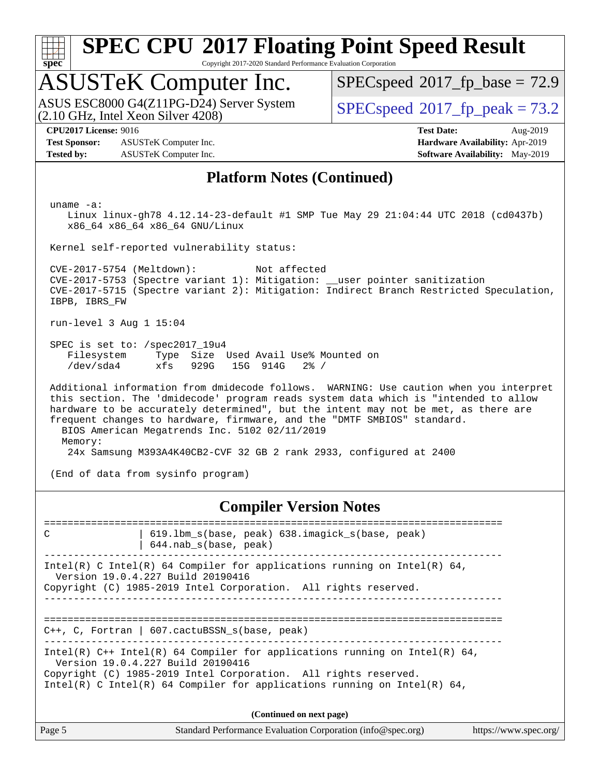

Copyright 2017-2020 Standard Performance Evaluation Corporation

# ASUSTeK Computer Inc.

(2.10 GHz, Intel Xeon Silver 4208) ASUS ESC8000 G4(Z11PG-D24) Server System  $S^{per}$  [SPECspeed](http://www.spec.org/auto/cpu2017/Docs/result-fields.html#SPECspeed2017fppeak)®[2017\\_fp\\_peak = 7](http://www.spec.org/auto/cpu2017/Docs/result-fields.html#SPECspeed2017fppeak)3.2

 $SPECspeed*2017_fp\_base = 72.9$  $SPECspeed*2017_fp\_base = 72.9$ 

**[Test Sponsor:](http://www.spec.org/auto/cpu2017/Docs/result-fields.html#TestSponsor)** ASUSTeK Computer Inc. **[Hardware Availability:](http://www.spec.org/auto/cpu2017/Docs/result-fields.html#HardwareAvailability)** Apr-2019 **[Tested by:](http://www.spec.org/auto/cpu2017/Docs/result-fields.html#Testedby)** ASUSTeK Computer Inc. **[Software Availability:](http://www.spec.org/auto/cpu2017/Docs/result-fields.html#SoftwareAvailability)** May-2019

**[CPU2017 License:](http://www.spec.org/auto/cpu2017/Docs/result-fields.html#CPU2017License)** 9016 **[Test Date:](http://www.spec.org/auto/cpu2017/Docs/result-fields.html#TestDate)** Aug-2019

#### **[Platform Notes \(Continued\)](http://www.spec.org/auto/cpu2017/Docs/result-fields.html#PlatformNotes)**

uname -a:

 Linux linux-gh78 4.12.14-23-default #1 SMP Tue May 29 21:04:44 UTC 2018 (cd0437b) x86\_64 x86\_64 x86\_64 GNU/Linux

Kernel self-reported vulnerability status:

 CVE-2017-5754 (Meltdown): Not affected CVE-2017-5753 (Spectre variant 1): Mitigation: \_\_user pointer sanitization CVE-2017-5715 (Spectre variant 2): Mitigation: Indirect Branch Restricted Speculation, IBPB, IBRS\_FW

run-level 3 Aug 1 15:04

 SPEC is set to: /spec2017\_19u4 Filesystem Type Size Used Avail Use% Mounted on /dev/sda4 xfs 929G 15G 914G 2% /

 Additional information from dmidecode follows. WARNING: Use caution when you interpret this section. The 'dmidecode' program reads system data which is "intended to allow hardware to be accurately determined", but the intent may not be met, as there are frequent changes to hardware, firmware, and the "DMTF SMBIOS" standard. BIOS American Megatrends Inc. 5102 02/11/2019 Memory: 24x Samsung M393A4K40CB2-CVF 32 GB 2 rank 2933, configured at 2400

(End of data from sysinfo program)

**[Compiler Version Notes](http://www.spec.org/auto/cpu2017/Docs/result-fields.html#CompilerVersionNotes)**

Page 5 Standard Performance Evaluation Corporation [\(info@spec.org\)](mailto:info@spec.org) <https://www.spec.org/> ============================================================================== C | 619.lbm\_s(base, peak) 638.imagick\_s(base, peak) | 644.nab\_s(base, peak) ------------------------------------------------------------------------------ Intel(R) C Intel(R) 64 Compiler for applications running on Intel(R)  $64$ , Version 19.0.4.227 Build 20190416 Copyright (C) 1985-2019 Intel Corporation. All rights reserved. ------------------------------------------------------------------------------ ============================================================================== C++, C, Fortran | 607.cactuBSSN\_s(base, peak) ------------------------------------------------------------------------------ Intel(R)  $C++$  Intel(R) 64 Compiler for applications running on Intel(R) 64, Version 19.0.4.227 Build 20190416 Copyright (C) 1985-2019 Intel Corporation. All rights reserved. Intel(R) C Intel(R) 64 Compiler for applications running on Intel(R)  $64$ , **(Continued on next page)**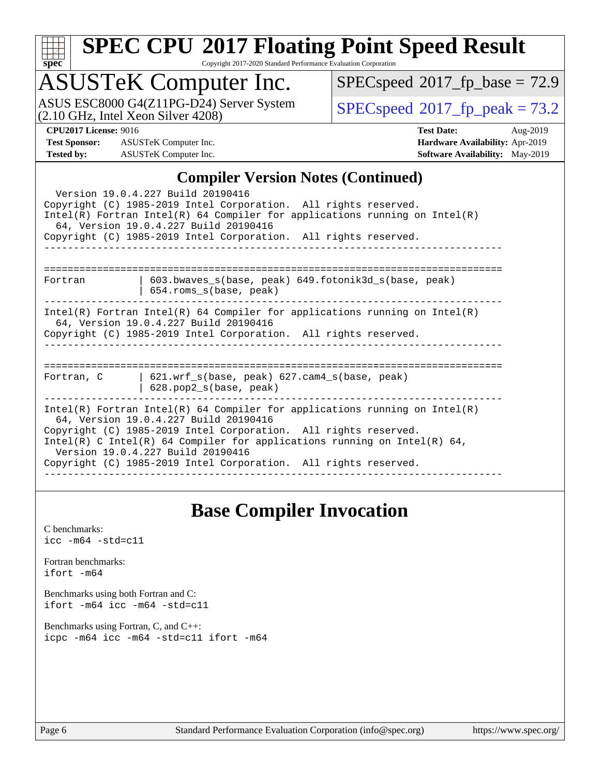| c,<br>t<br>ı |  |  |  |  |  |  |
|--------------|--|--|--|--|--|--|

Copyright 2017-2020 Standard Performance Evaluation Corporation

# ASUSTeK Computer Inc.

ASUS ESC8000 G4(Z11PG-D24) Server System  $(2.10 \text{ GHz}, \text{ Intel Xeon Silver } 4208)$ 

 $SPECspeed*2017_fp\_base = 72.9$  $SPECspeed*2017_fp\_base = 72.9$ 

**[Test Sponsor:](http://www.spec.org/auto/cpu2017/Docs/result-fields.html#TestSponsor)** ASUSTeK Computer Inc. **[Hardware Availability:](http://www.spec.org/auto/cpu2017/Docs/result-fields.html#HardwareAvailability)** Apr-2019 **[Tested by:](http://www.spec.org/auto/cpu2017/Docs/result-fields.html#Testedby)** ASUSTeK Computer Inc. **[Software Availability:](http://www.spec.org/auto/cpu2017/Docs/result-fields.html#SoftwareAvailability)** May-2019

**[CPU2017 License:](http://www.spec.org/auto/cpu2017/Docs/result-fields.html#CPU2017License)** 9016 **[Test Date:](http://www.spec.org/auto/cpu2017/Docs/result-fields.html#TestDate)** Aug-2019

### **[Compiler Version Notes \(Continued\)](http://www.spec.org/auto/cpu2017/Docs/result-fields.html#CompilerVersionNotes)**

|                                                                                                                                                                                                                                                                                                                                                                              | $\mathbf{C}$ unphen version rotes ( $\mathbf{C}$ ontinueu)                              |  |  |  |  |  |
|------------------------------------------------------------------------------------------------------------------------------------------------------------------------------------------------------------------------------------------------------------------------------------------------------------------------------------------------------------------------------|-----------------------------------------------------------------------------------------|--|--|--|--|--|
| Version 19.0.4.227 Build 20190416<br>Copyright (C) 1985-2019 Intel Corporation. All rights reserved.<br>$Intel(R)$ Fortran Intel(R) 64 Compiler for applications running on Intel(R)<br>64, Version 19.0.4.227 Build 20190416<br>Copyright (C) 1985-2019 Intel Corporation. All rights reserved.                                                                             |                                                                                         |  |  |  |  |  |
| -------------                                                                                                                                                                                                                                                                                                                                                                |                                                                                         |  |  |  |  |  |
| Fortran                                                                                                                                                                                                                                                                                                                                                                      | $603.bwaves$ s(base, peak) $649.fotonik3d$ s(base, peak)<br>$654$ .roms $s(base, peak)$ |  |  |  |  |  |
| $Intel(R)$ Fortran Intel(R) 64 Compiler for applications running on Intel(R)<br>64, Version 19.0.4.227 Build 20190416<br>Copyright (C) 1985-2019 Intel Corporation. All rights reserved.                                                                                                                                                                                     |                                                                                         |  |  |  |  |  |
|                                                                                                                                                                                                                                                                                                                                                                              |                                                                                         |  |  |  |  |  |
| Fortran, C<br>628.pop2_s(base, peak)                                                                                                                                                                                                                                                                                                                                         | 621.wrf_s(base, peak) 627.cam4_s(base, peak)                                            |  |  |  |  |  |
| $Intel(R)$ Fortran Intel(R) 64 Compiler for applications running on Intel(R)<br>64, Version 19.0.4.227 Build 20190416<br>Copyright (C) 1985-2019 Intel Corporation. All rights reserved.<br>Intel(R) C Intel(R) 64 Compiler for applications running on Intel(R) 64,<br>Version 19.0.4.227 Build 20190416<br>Copyright (C) 1985-2019 Intel Corporation. All rights reserved. |                                                                                         |  |  |  |  |  |

### **[Base Compiler Invocation](http://www.spec.org/auto/cpu2017/Docs/result-fields.html#BaseCompilerInvocation)**

[C benchmarks](http://www.spec.org/auto/cpu2017/Docs/result-fields.html#Cbenchmarks): [icc -m64 -std=c11](http://www.spec.org/cpu2017/results/res2019q3/cpu2017-20190805-16609.flags.html#user_CCbase_intel_icc_64bit_c11_33ee0cdaae7deeeab2a9725423ba97205ce30f63b9926c2519791662299b76a0318f32ddfffdc46587804de3178b4f9328c46fa7c2b0cd779d7a61945c91cd35)

[Fortran benchmarks](http://www.spec.org/auto/cpu2017/Docs/result-fields.html#Fortranbenchmarks): [ifort -m64](http://www.spec.org/cpu2017/results/res2019q3/cpu2017-20190805-16609.flags.html#user_FCbase_intel_ifort_64bit_24f2bb282fbaeffd6157abe4f878425411749daecae9a33200eee2bee2fe76f3b89351d69a8130dd5949958ce389cf37ff59a95e7a40d588e8d3a57e0c3fd751)

[Benchmarks using both Fortran and C](http://www.spec.org/auto/cpu2017/Docs/result-fields.html#BenchmarksusingbothFortranandC): [ifort -m64](http://www.spec.org/cpu2017/results/res2019q3/cpu2017-20190805-16609.flags.html#user_CC_FCbase_intel_ifort_64bit_24f2bb282fbaeffd6157abe4f878425411749daecae9a33200eee2bee2fe76f3b89351d69a8130dd5949958ce389cf37ff59a95e7a40d588e8d3a57e0c3fd751) [icc -m64 -std=c11](http://www.spec.org/cpu2017/results/res2019q3/cpu2017-20190805-16609.flags.html#user_CC_FCbase_intel_icc_64bit_c11_33ee0cdaae7deeeab2a9725423ba97205ce30f63b9926c2519791662299b76a0318f32ddfffdc46587804de3178b4f9328c46fa7c2b0cd779d7a61945c91cd35)

[Benchmarks using Fortran, C, and C++:](http://www.spec.org/auto/cpu2017/Docs/result-fields.html#BenchmarksusingFortranCandCXX) [icpc -m64](http://www.spec.org/cpu2017/results/res2019q3/cpu2017-20190805-16609.flags.html#user_CC_CXX_FCbase_intel_icpc_64bit_4ecb2543ae3f1412ef961e0650ca070fec7b7afdcd6ed48761b84423119d1bf6bdf5cad15b44d48e7256388bc77273b966e5eb805aefd121eb22e9299b2ec9d9) [icc -m64 -std=c11](http://www.spec.org/cpu2017/results/res2019q3/cpu2017-20190805-16609.flags.html#user_CC_CXX_FCbase_intel_icc_64bit_c11_33ee0cdaae7deeeab2a9725423ba97205ce30f63b9926c2519791662299b76a0318f32ddfffdc46587804de3178b4f9328c46fa7c2b0cd779d7a61945c91cd35) [ifort -m64](http://www.spec.org/cpu2017/results/res2019q3/cpu2017-20190805-16609.flags.html#user_CC_CXX_FCbase_intel_ifort_64bit_24f2bb282fbaeffd6157abe4f878425411749daecae9a33200eee2bee2fe76f3b89351d69a8130dd5949958ce389cf37ff59a95e7a40d588e8d3a57e0c3fd751)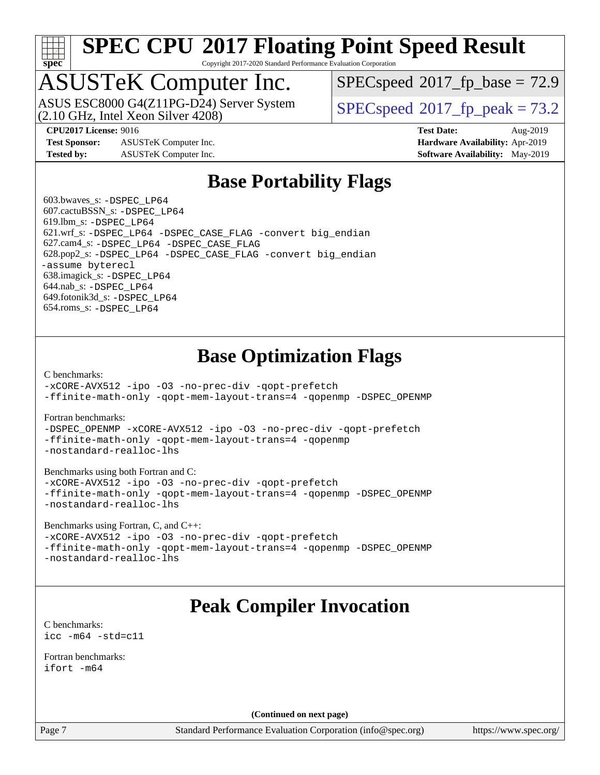

Copyright 2017-2020 Standard Performance Evaluation Corporation

# ASUSTeK Computer Inc.

(2.10 GHz, Intel Xeon Silver 4208) ASUS ESC8000 G4(Z11PG-D24) Server System  $\vert$  [SPECspeed](http://www.spec.org/auto/cpu2017/Docs/result-fields.html#SPECspeed2017fppeak)®[2017\\_fp\\_peak = 7](http://www.spec.org/auto/cpu2017/Docs/result-fields.html#SPECspeed2017fppeak)3.2

 $SPECspeed^{\circledcirc}2017\_fp\_base = 72.9$  $SPECspeed^{\circledcirc}2017\_fp\_base = 72.9$ 

**[Test Sponsor:](http://www.spec.org/auto/cpu2017/Docs/result-fields.html#TestSponsor)** ASUSTeK Computer Inc. **[Hardware Availability:](http://www.spec.org/auto/cpu2017/Docs/result-fields.html#HardwareAvailability)** Apr-2019 **[Tested by:](http://www.spec.org/auto/cpu2017/Docs/result-fields.html#Testedby)** ASUSTeK Computer Inc. **[Software Availability:](http://www.spec.org/auto/cpu2017/Docs/result-fields.html#SoftwareAvailability)** May-2019

**[CPU2017 License:](http://www.spec.org/auto/cpu2017/Docs/result-fields.html#CPU2017License)** 9016 **[Test Date:](http://www.spec.org/auto/cpu2017/Docs/result-fields.html#TestDate)** Aug-2019

### **[Base Portability Flags](http://www.spec.org/auto/cpu2017/Docs/result-fields.html#BasePortabilityFlags)**

 603.bwaves\_s: [-DSPEC\\_LP64](http://www.spec.org/cpu2017/results/res2019q3/cpu2017-20190805-16609.flags.html#suite_basePORTABILITY603_bwaves_s_DSPEC_LP64) 607.cactuBSSN\_s: [-DSPEC\\_LP64](http://www.spec.org/cpu2017/results/res2019q3/cpu2017-20190805-16609.flags.html#suite_basePORTABILITY607_cactuBSSN_s_DSPEC_LP64) 619.lbm\_s: [-DSPEC\\_LP64](http://www.spec.org/cpu2017/results/res2019q3/cpu2017-20190805-16609.flags.html#suite_basePORTABILITY619_lbm_s_DSPEC_LP64) 621.wrf\_s: [-DSPEC\\_LP64](http://www.spec.org/cpu2017/results/res2019q3/cpu2017-20190805-16609.flags.html#suite_basePORTABILITY621_wrf_s_DSPEC_LP64) [-DSPEC\\_CASE\\_FLAG](http://www.spec.org/cpu2017/results/res2019q3/cpu2017-20190805-16609.flags.html#b621.wrf_s_baseCPORTABILITY_DSPEC_CASE_FLAG) [-convert big\\_endian](http://www.spec.org/cpu2017/results/res2019q3/cpu2017-20190805-16609.flags.html#user_baseFPORTABILITY621_wrf_s_convert_big_endian_c3194028bc08c63ac5d04de18c48ce6d347e4e562e8892b8bdbdc0214820426deb8554edfa529a3fb25a586e65a3d812c835984020483e7e73212c4d31a38223) 627.cam4\_s: [-DSPEC\\_LP64](http://www.spec.org/cpu2017/results/res2019q3/cpu2017-20190805-16609.flags.html#suite_basePORTABILITY627_cam4_s_DSPEC_LP64) [-DSPEC\\_CASE\\_FLAG](http://www.spec.org/cpu2017/results/res2019q3/cpu2017-20190805-16609.flags.html#b627.cam4_s_baseCPORTABILITY_DSPEC_CASE_FLAG) 628.pop2\_s: [-DSPEC\\_LP64](http://www.spec.org/cpu2017/results/res2019q3/cpu2017-20190805-16609.flags.html#suite_basePORTABILITY628_pop2_s_DSPEC_LP64) [-DSPEC\\_CASE\\_FLAG](http://www.spec.org/cpu2017/results/res2019q3/cpu2017-20190805-16609.flags.html#b628.pop2_s_baseCPORTABILITY_DSPEC_CASE_FLAG) [-convert big\\_endian](http://www.spec.org/cpu2017/results/res2019q3/cpu2017-20190805-16609.flags.html#user_baseFPORTABILITY628_pop2_s_convert_big_endian_c3194028bc08c63ac5d04de18c48ce6d347e4e562e8892b8bdbdc0214820426deb8554edfa529a3fb25a586e65a3d812c835984020483e7e73212c4d31a38223) [-assume byterecl](http://www.spec.org/cpu2017/results/res2019q3/cpu2017-20190805-16609.flags.html#user_baseFPORTABILITY628_pop2_s_assume_byterecl_7e47d18b9513cf18525430bbf0f2177aa9bf368bc7a059c09b2c06a34b53bd3447c950d3f8d6c70e3faf3a05c8557d66a5798b567902e8849adc142926523472) 638.imagick\_s: [-DSPEC\\_LP64](http://www.spec.org/cpu2017/results/res2019q3/cpu2017-20190805-16609.flags.html#suite_basePORTABILITY638_imagick_s_DSPEC_LP64) 644.nab\_s: [-DSPEC\\_LP64](http://www.spec.org/cpu2017/results/res2019q3/cpu2017-20190805-16609.flags.html#suite_basePORTABILITY644_nab_s_DSPEC_LP64) 649.fotonik3d\_s: [-DSPEC\\_LP64](http://www.spec.org/cpu2017/results/res2019q3/cpu2017-20190805-16609.flags.html#suite_basePORTABILITY649_fotonik3d_s_DSPEC_LP64) 654.roms\_s: [-DSPEC\\_LP64](http://www.spec.org/cpu2017/results/res2019q3/cpu2017-20190805-16609.flags.html#suite_basePORTABILITY654_roms_s_DSPEC_LP64)

### **[Base Optimization Flags](http://www.spec.org/auto/cpu2017/Docs/result-fields.html#BaseOptimizationFlags)**

[C benchmarks](http://www.spec.org/auto/cpu2017/Docs/result-fields.html#Cbenchmarks):

[-xCORE-AVX512](http://www.spec.org/cpu2017/results/res2019q3/cpu2017-20190805-16609.flags.html#user_CCbase_f-xCORE-AVX512) [-ipo](http://www.spec.org/cpu2017/results/res2019q3/cpu2017-20190805-16609.flags.html#user_CCbase_f-ipo) [-O3](http://www.spec.org/cpu2017/results/res2019q3/cpu2017-20190805-16609.flags.html#user_CCbase_f-O3) [-no-prec-div](http://www.spec.org/cpu2017/results/res2019q3/cpu2017-20190805-16609.flags.html#user_CCbase_f-no-prec-div) [-qopt-prefetch](http://www.spec.org/cpu2017/results/res2019q3/cpu2017-20190805-16609.flags.html#user_CCbase_f-qopt-prefetch) [-ffinite-math-only](http://www.spec.org/cpu2017/results/res2019q3/cpu2017-20190805-16609.flags.html#user_CCbase_f_finite_math_only_cb91587bd2077682c4b38af759c288ed7c732db004271a9512da14a4f8007909a5f1427ecbf1a0fb78ff2a814402c6114ac565ca162485bbcae155b5e4258871) [-qopt-mem-layout-trans=4](http://www.spec.org/cpu2017/results/res2019q3/cpu2017-20190805-16609.flags.html#user_CCbase_f-qopt-mem-layout-trans_fa39e755916c150a61361b7846f310bcdf6f04e385ef281cadf3647acec3f0ae266d1a1d22d972a7087a248fd4e6ca390a3634700869573d231a252c784941a8) [-qopenmp](http://www.spec.org/cpu2017/results/res2019q3/cpu2017-20190805-16609.flags.html#user_CCbase_qopenmp_16be0c44f24f464004c6784a7acb94aca937f053568ce72f94b139a11c7c168634a55f6653758ddd83bcf7b8463e8028bb0b48b77bcddc6b78d5d95bb1df2967) [-DSPEC\\_OPENMP](http://www.spec.org/cpu2017/results/res2019q3/cpu2017-20190805-16609.flags.html#suite_CCbase_DSPEC_OPENMP)

[Fortran benchmarks](http://www.spec.org/auto/cpu2017/Docs/result-fields.html#Fortranbenchmarks):

[-DSPEC\\_OPENMP](http://www.spec.org/cpu2017/results/res2019q3/cpu2017-20190805-16609.flags.html#suite_FCbase_DSPEC_OPENMP) [-xCORE-AVX512](http://www.spec.org/cpu2017/results/res2019q3/cpu2017-20190805-16609.flags.html#user_FCbase_f-xCORE-AVX512) [-ipo](http://www.spec.org/cpu2017/results/res2019q3/cpu2017-20190805-16609.flags.html#user_FCbase_f-ipo) [-O3](http://www.spec.org/cpu2017/results/res2019q3/cpu2017-20190805-16609.flags.html#user_FCbase_f-O3) [-no-prec-div](http://www.spec.org/cpu2017/results/res2019q3/cpu2017-20190805-16609.flags.html#user_FCbase_f-no-prec-div) [-qopt-prefetch](http://www.spec.org/cpu2017/results/res2019q3/cpu2017-20190805-16609.flags.html#user_FCbase_f-qopt-prefetch) [-ffinite-math-only](http://www.spec.org/cpu2017/results/res2019q3/cpu2017-20190805-16609.flags.html#user_FCbase_f_finite_math_only_cb91587bd2077682c4b38af759c288ed7c732db004271a9512da14a4f8007909a5f1427ecbf1a0fb78ff2a814402c6114ac565ca162485bbcae155b5e4258871) [-qopt-mem-layout-trans=4](http://www.spec.org/cpu2017/results/res2019q3/cpu2017-20190805-16609.flags.html#user_FCbase_f-qopt-mem-layout-trans_fa39e755916c150a61361b7846f310bcdf6f04e385ef281cadf3647acec3f0ae266d1a1d22d972a7087a248fd4e6ca390a3634700869573d231a252c784941a8) [-qopenmp](http://www.spec.org/cpu2017/results/res2019q3/cpu2017-20190805-16609.flags.html#user_FCbase_qopenmp_16be0c44f24f464004c6784a7acb94aca937f053568ce72f94b139a11c7c168634a55f6653758ddd83bcf7b8463e8028bb0b48b77bcddc6b78d5d95bb1df2967) [-nostandard-realloc-lhs](http://www.spec.org/cpu2017/results/res2019q3/cpu2017-20190805-16609.flags.html#user_FCbase_f_2003_std_realloc_82b4557e90729c0f113870c07e44d33d6f5a304b4f63d4c15d2d0f1fab99f5daaed73bdb9275d9ae411527f28b936061aa8b9c8f2d63842963b95c9dd6426b8a)

[Benchmarks using both Fortran and C](http://www.spec.org/auto/cpu2017/Docs/result-fields.html#BenchmarksusingbothFortranandC):

[-xCORE-AVX512](http://www.spec.org/cpu2017/results/res2019q3/cpu2017-20190805-16609.flags.html#user_CC_FCbase_f-xCORE-AVX512) [-ipo](http://www.spec.org/cpu2017/results/res2019q3/cpu2017-20190805-16609.flags.html#user_CC_FCbase_f-ipo) [-O3](http://www.spec.org/cpu2017/results/res2019q3/cpu2017-20190805-16609.flags.html#user_CC_FCbase_f-O3) [-no-prec-div](http://www.spec.org/cpu2017/results/res2019q3/cpu2017-20190805-16609.flags.html#user_CC_FCbase_f-no-prec-div) [-qopt-prefetch](http://www.spec.org/cpu2017/results/res2019q3/cpu2017-20190805-16609.flags.html#user_CC_FCbase_f-qopt-prefetch) [-ffinite-math-only](http://www.spec.org/cpu2017/results/res2019q3/cpu2017-20190805-16609.flags.html#user_CC_FCbase_f_finite_math_only_cb91587bd2077682c4b38af759c288ed7c732db004271a9512da14a4f8007909a5f1427ecbf1a0fb78ff2a814402c6114ac565ca162485bbcae155b5e4258871) [-qopt-mem-layout-trans=4](http://www.spec.org/cpu2017/results/res2019q3/cpu2017-20190805-16609.flags.html#user_CC_FCbase_f-qopt-mem-layout-trans_fa39e755916c150a61361b7846f310bcdf6f04e385ef281cadf3647acec3f0ae266d1a1d22d972a7087a248fd4e6ca390a3634700869573d231a252c784941a8) [-qopenmp](http://www.spec.org/cpu2017/results/res2019q3/cpu2017-20190805-16609.flags.html#user_CC_FCbase_qopenmp_16be0c44f24f464004c6784a7acb94aca937f053568ce72f94b139a11c7c168634a55f6653758ddd83bcf7b8463e8028bb0b48b77bcddc6b78d5d95bb1df2967) [-DSPEC\\_OPENMP](http://www.spec.org/cpu2017/results/res2019q3/cpu2017-20190805-16609.flags.html#suite_CC_FCbase_DSPEC_OPENMP) [-nostandard-realloc-lhs](http://www.spec.org/cpu2017/results/res2019q3/cpu2017-20190805-16609.flags.html#user_CC_FCbase_f_2003_std_realloc_82b4557e90729c0f113870c07e44d33d6f5a304b4f63d4c15d2d0f1fab99f5daaed73bdb9275d9ae411527f28b936061aa8b9c8f2d63842963b95c9dd6426b8a)

[Benchmarks using Fortran, C, and C++:](http://www.spec.org/auto/cpu2017/Docs/result-fields.html#BenchmarksusingFortranCandCXX)

[-xCORE-AVX512](http://www.spec.org/cpu2017/results/res2019q3/cpu2017-20190805-16609.flags.html#user_CC_CXX_FCbase_f-xCORE-AVX512) [-ipo](http://www.spec.org/cpu2017/results/res2019q3/cpu2017-20190805-16609.flags.html#user_CC_CXX_FCbase_f-ipo) [-O3](http://www.spec.org/cpu2017/results/res2019q3/cpu2017-20190805-16609.flags.html#user_CC_CXX_FCbase_f-O3) [-no-prec-div](http://www.spec.org/cpu2017/results/res2019q3/cpu2017-20190805-16609.flags.html#user_CC_CXX_FCbase_f-no-prec-div) [-qopt-prefetch](http://www.spec.org/cpu2017/results/res2019q3/cpu2017-20190805-16609.flags.html#user_CC_CXX_FCbase_f-qopt-prefetch) [-ffinite-math-only](http://www.spec.org/cpu2017/results/res2019q3/cpu2017-20190805-16609.flags.html#user_CC_CXX_FCbase_f_finite_math_only_cb91587bd2077682c4b38af759c288ed7c732db004271a9512da14a4f8007909a5f1427ecbf1a0fb78ff2a814402c6114ac565ca162485bbcae155b5e4258871) [-qopt-mem-layout-trans=4](http://www.spec.org/cpu2017/results/res2019q3/cpu2017-20190805-16609.flags.html#user_CC_CXX_FCbase_f-qopt-mem-layout-trans_fa39e755916c150a61361b7846f310bcdf6f04e385ef281cadf3647acec3f0ae266d1a1d22d972a7087a248fd4e6ca390a3634700869573d231a252c784941a8) [-qopenmp](http://www.spec.org/cpu2017/results/res2019q3/cpu2017-20190805-16609.flags.html#user_CC_CXX_FCbase_qopenmp_16be0c44f24f464004c6784a7acb94aca937f053568ce72f94b139a11c7c168634a55f6653758ddd83bcf7b8463e8028bb0b48b77bcddc6b78d5d95bb1df2967) [-DSPEC\\_OPENMP](http://www.spec.org/cpu2017/results/res2019q3/cpu2017-20190805-16609.flags.html#suite_CC_CXX_FCbase_DSPEC_OPENMP) [-nostandard-realloc-lhs](http://www.spec.org/cpu2017/results/res2019q3/cpu2017-20190805-16609.flags.html#user_CC_CXX_FCbase_f_2003_std_realloc_82b4557e90729c0f113870c07e44d33d6f5a304b4f63d4c15d2d0f1fab99f5daaed73bdb9275d9ae411527f28b936061aa8b9c8f2d63842963b95c9dd6426b8a)

## **[Peak Compiler Invocation](http://www.spec.org/auto/cpu2017/Docs/result-fields.html#PeakCompilerInvocation)**

[C benchmarks](http://www.spec.org/auto/cpu2017/Docs/result-fields.html#Cbenchmarks): [icc -m64 -std=c11](http://www.spec.org/cpu2017/results/res2019q3/cpu2017-20190805-16609.flags.html#user_CCpeak_intel_icc_64bit_c11_33ee0cdaae7deeeab2a9725423ba97205ce30f63b9926c2519791662299b76a0318f32ddfffdc46587804de3178b4f9328c46fa7c2b0cd779d7a61945c91cd35)

[Fortran benchmarks](http://www.spec.org/auto/cpu2017/Docs/result-fields.html#Fortranbenchmarks): [ifort -m64](http://www.spec.org/cpu2017/results/res2019q3/cpu2017-20190805-16609.flags.html#user_FCpeak_intel_ifort_64bit_24f2bb282fbaeffd6157abe4f878425411749daecae9a33200eee2bee2fe76f3b89351d69a8130dd5949958ce389cf37ff59a95e7a40d588e8d3a57e0c3fd751)

**(Continued on next page)**

Page 7 Standard Performance Evaluation Corporation [\(info@spec.org\)](mailto:info@spec.org) <https://www.spec.org/>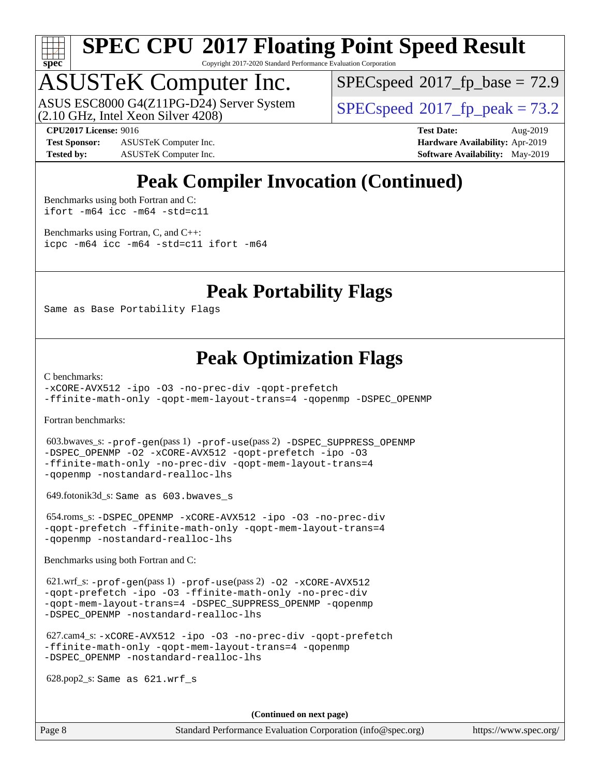

Copyright 2017-2020 Standard Performance Evaluation Corporation

# ASUSTeK Computer Inc.

(2.10 GHz, Intel Xeon Silver 4208) ASUS ESC8000 G4(Z11PG-D24) Server System  $\vert$  [SPECspeed](http://www.spec.org/auto/cpu2017/Docs/result-fields.html#SPECspeed2017fppeak)®[2017\\_fp\\_peak = 7](http://www.spec.org/auto/cpu2017/Docs/result-fields.html#SPECspeed2017fppeak)3.2

 $SPECspeed@2017_fp\_base = 72.9$  $SPECspeed@2017_fp\_base = 72.9$ 

**[Test Sponsor:](http://www.spec.org/auto/cpu2017/Docs/result-fields.html#TestSponsor)** ASUSTeK Computer Inc. **[Hardware Availability:](http://www.spec.org/auto/cpu2017/Docs/result-fields.html#HardwareAvailability)** Apr-2019 **[Tested by:](http://www.spec.org/auto/cpu2017/Docs/result-fields.html#Testedby)** ASUSTeK Computer Inc. **[Software Availability:](http://www.spec.org/auto/cpu2017/Docs/result-fields.html#SoftwareAvailability)** May-2019

**[CPU2017 License:](http://www.spec.org/auto/cpu2017/Docs/result-fields.html#CPU2017License)** 9016 **[Test Date:](http://www.spec.org/auto/cpu2017/Docs/result-fields.html#TestDate)** Aug-2019

## **[Peak Compiler Invocation \(Continued\)](http://www.spec.org/auto/cpu2017/Docs/result-fields.html#PeakCompilerInvocation)**

[Benchmarks using both Fortran and C](http://www.spec.org/auto/cpu2017/Docs/result-fields.html#BenchmarksusingbothFortranandC): [ifort -m64](http://www.spec.org/cpu2017/results/res2019q3/cpu2017-20190805-16609.flags.html#user_CC_FCpeak_intel_ifort_64bit_24f2bb282fbaeffd6157abe4f878425411749daecae9a33200eee2bee2fe76f3b89351d69a8130dd5949958ce389cf37ff59a95e7a40d588e8d3a57e0c3fd751) [icc -m64 -std=c11](http://www.spec.org/cpu2017/results/res2019q3/cpu2017-20190805-16609.flags.html#user_CC_FCpeak_intel_icc_64bit_c11_33ee0cdaae7deeeab2a9725423ba97205ce30f63b9926c2519791662299b76a0318f32ddfffdc46587804de3178b4f9328c46fa7c2b0cd779d7a61945c91cd35)

[Benchmarks using Fortran, C, and C++:](http://www.spec.org/auto/cpu2017/Docs/result-fields.html#BenchmarksusingFortranCandCXX) [icpc -m64](http://www.spec.org/cpu2017/results/res2019q3/cpu2017-20190805-16609.flags.html#user_CC_CXX_FCpeak_intel_icpc_64bit_4ecb2543ae3f1412ef961e0650ca070fec7b7afdcd6ed48761b84423119d1bf6bdf5cad15b44d48e7256388bc77273b966e5eb805aefd121eb22e9299b2ec9d9) [icc -m64 -std=c11](http://www.spec.org/cpu2017/results/res2019q3/cpu2017-20190805-16609.flags.html#user_CC_CXX_FCpeak_intel_icc_64bit_c11_33ee0cdaae7deeeab2a9725423ba97205ce30f63b9926c2519791662299b76a0318f32ddfffdc46587804de3178b4f9328c46fa7c2b0cd779d7a61945c91cd35) [ifort -m64](http://www.spec.org/cpu2017/results/res2019q3/cpu2017-20190805-16609.flags.html#user_CC_CXX_FCpeak_intel_ifort_64bit_24f2bb282fbaeffd6157abe4f878425411749daecae9a33200eee2bee2fe76f3b89351d69a8130dd5949958ce389cf37ff59a95e7a40d588e8d3a57e0c3fd751)

### **[Peak Portability Flags](http://www.spec.org/auto/cpu2017/Docs/result-fields.html#PeakPortabilityFlags)**

Same as Base Portability Flags

### **[Peak Optimization Flags](http://www.spec.org/auto/cpu2017/Docs/result-fields.html#PeakOptimizationFlags)**

[C benchmarks](http://www.spec.org/auto/cpu2017/Docs/result-fields.html#Cbenchmarks):

[-xCORE-AVX512](http://www.spec.org/cpu2017/results/res2019q3/cpu2017-20190805-16609.flags.html#user_CCpeak_f-xCORE-AVX512) [-ipo](http://www.spec.org/cpu2017/results/res2019q3/cpu2017-20190805-16609.flags.html#user_CCpeak_f-ipo) [-O3](http://www.spec.org/cpu2017/results/res2019q3/cpu2017-20190805-16609.flags.html#user_CCpeak_f-O3) [-no-prec-div](http://www.spec.org/cpu2017/results/res2019q3/cpu2017-20190805-16609.flags.html#user_CCpeak_f-no-prec-div) [-qopt-prefetch](http://www.spec.org/cpu2017/results/res2019q3/cpu2017-20190805-16609.flags.html#user_CCpeak_f-qopt-prefetch) [-ffinite-math-only](http://www.spec.org/cpu2017/results/res2019q3/cpu2017-20190805-16609.flags.html#user_CCpeak_f_finite_math_only_cb91587bd2077682c4b38af759c288ed7c732db004271a9512da14a4f8007909a5f1427ecbf1a0fb78ff2a814402c6114ac565ca162485bbcae155b5e4258871) [-qopt-mem-layout-trans=4](http://www.spec.org/cpu2017/results/res2019q3/cpu2017-20190805-16609.flags.html#user_CCpeak_f-qopt-mem-layout-trans_fa39e755916c150a61361b7846f310bcdf6f04e385ef281cadf3647acec3f0ae266d1a1d22d972a7087a248fd4e6ca390a3634700869573d231a252c784941a8) [-qopenmp](http://www.spec.org/cpu2017/results/res2019q3/cpu2017-20190805-16609.flags.html#user_CCpeak_qopenmp_16be0c44f24f464004c6784a7acb94aca937f053568ce72f94b139a11c7c168634a55f6653758ddd83bcf7b8463e8028bb0b48b77bcddc6b78d5d95bb1df2967) [-DSPEC\\_OPENMP](http://www.spec.org/cpu2017/results/res2019q3/cpu2017-20190805-16609.flags.html#suite_CCpeak_DSPEC_OPENMP)

[Fortran benchmarks](http://www.spec.org/auto/cpu2017/Docs/result-fields.html#Fortranbenchmarks):

 603.bwaves\_s: [-prof-gen](http://www.spec.org/cpu2017/results/res2019q3/cpu2017-20190805-16609.flags.html#user_peakPASS1_FFLAGSPASS1_LDFLAGS603_bwaves_s_prof_gen_5aa4926d6013ddb2a31985c654b3eb18169fc0c6952a63635c234f711e6e63dd76e94ad52365559451ec499a2cdb89e4dc58ba4c67ef54ca681ffbe1461d6b36)(pass 1) [-prof-use](http://www.spec.org/cpu2017/results/res2019q3/cpu2017-20190805-16609.flags.html#user_peakPASS2_FFLAGSPASS2_LDFLAGS603_bwaves_s_prof_use_1a21ceae95f36a2b53c25747139a6c16ca95bd9def2a207b4f0849963b97e94f5260e30a0c64f4bb623698870e679ca08317ef8150905d41bd88c6f78df73f19)(pass 2) [-DSPEC\\_SUPPRESS\\_OPENMP](http://www.spec.org/cpu2017/results/res2019q3/cpu2017-20190805-16609.flags.html#suite_peakPASS1_FOPTIMIZE603_bwaves_s_DSPEC_SUPPRESS_OPENMP) [-DSPEC\\_OPENMP](http://www.spec.org/cpu2017/results/res2019q3/cpu2017-20190805-16609.flags.html#suite_peakPASS2_FOPTIMIZE603_bwaves_s_DSPEC_OPENMP) [-O2](http://www.spec.org/cpu2017/results/res2019q3/cpu2017-20190805-16609.flags.html#user_peakPASS1_FOPTIMIZE603_bwaves_s_f-O2) [-xCORE-AVX512](http://www.spec.org/cpu2017/results/res2019q3/cpu2017-20190805-16609.flags.html#user_peakPASS2_FOPTIMIZE603_bwaves_s_f-xCORE-AVX512) [-qopt-prefetch](http://www.spec.org/cpu2017/results/res2019q3/cpu2017-20190805-16609.flags.html#user_peakPASS1_FOPTIMIZEPASS2_FOPTIMIZE603_bwaves_s_f-qopt-prefetch) [-ipo](http://www.spec.org/cpu2017/results/res2019q3/cpu2017-20190805-16609.flags.html#user_peakPASS2_FOPTIMIZE603_bwaves_s_f-ipo) [-O3](http://www.spec.org/cpu2017/results/res2019q3/cpu2017-20190805-16609.flags.html#user_peakPASS2_FOPTIMIZE603_bwaves_s_f-O3) [-ffinite-math-only](http://www.spec.org/cpu2017/results/res2019q3/cpu2017-20190805-16609.flags.html#user_peakPASS1_FOPTIMIZEPASS2_FOPTIMIZE603_bwaves_s_f_finite_math_only_cb91587bd2077682c4b38af759c288ed7c732db004271a9512da14a4f8007909a5f1427ecbf1a0fb78ff2a814402c6114ac565ca162485bbcae155b5e4258871) [-no-prec-div](http://www.spec.org/cpu2017/results/res2019q3/cpu2017-20190805-16609.flags.html#user_peakPASS2_FOPTIMIZE603_bwaves_s_f-no-prec-div) [-qopt-mem-layout-trans=4](http://www.spec.org/cpu2017/results/res2019q3/cpu2017-20190805-16609.flags.html#user_peakPASS1_FOPTIMIZEPASS2_FOPTIMIZE603_bwaves_s_f-qopt-mem-layout-trans_fa39e755916c150a61361b7846f310bcdf6f04e385ef281cadf3647acec3f0ae266d1a1d22d972a7087a248fd4e6ca390a3634700869573d231a252c784941a8) [-qopenmp](http://www.spec.org/cpu2017/results/res2019q3/cpu2017-20190805-16609.flags.html#user_peakPASS2_FOPTIMIZE603_bwaves_s_qopenmp_16be0c44f24f464004c6784a7acb94aca937f053568ce72f94b139a11c7c168634a55f6653758ddd83bcf7b8463e8028bb0b48b77bcddc6b78d5d95bb1df2967) [-nostandard-realloc-lhs](http://www.spec.org/cpu2017/results/res2019q3/cpu2017-20190805-16609.flags.html#user_peakEXTRA_FOPTIMIZE603_bwaves_s_f_2003_std_realloc_82b4557e90729c0f113870c07e44d33d6f5a304b4f63d4c15d2d0f1fab99f5daaed73bdb9275d9ae411527f28b936061aa8b9c8f2d63842963b95c9dd6426b8a)

649.fotonik3d\_s: Same as 603.bwaves\_s

 654.roms\_s: [-DSPEC\\_OPENMP](http://www.spec.org/cpu2017/results/res2019q3/cpu2017-20190805-16609.flags.html#suite_peakFOPTIMIZE654_roms_s_DSPEC_OPENMP) [-xCORE-AVX512](http://www.spec.org/cpu2017/results/res2019q3/cpu2017-20190805-16609.flags.html#user_peakFOPTIMIZE654_roms_s_f-xCORE-AVX512) [-ipo](http://www.spec.org/cpu2017/results/res2019q3/cpu2017-20190805-16609.flags.html#user_peakFOPTIMIZE654_roms_s_f-ipo) [-O3](http://www.spec.org/cpu2017/results/res2019q3/cpu2017-20190805-16609.flags.html#user_peakFOPTIMIZE654_roms_s_f-O3) [-no-prec-div](http://www.spec.org/cpu2017/results/res2019q3/cpu2017-20190805-16609.flags.html#user_peakFOPTIMIZE654_roms_s_f-no-prec-div) [-qopt-prefetch](http://www.spec.org/cpu2017/results/res2019q3/cpu2017-20190805-16609.flags.html#user_peakFOPTIMIZE654_roms_s_f-qopt-prefetch) [-ffinite-math-only](http://www.spec.org/cpu2017/results/res2019q3/cpu2017-20190805-16609.flags.html#user_peakFOPTIMIZE654_roms_s_f_finite_math_only_cb91587bd2077682c4b38af759c288ed7c732db004271a9512da14a4f8007909a5f1427ecbf1a0fb78ff2a814402c6114ac565ca162485bbcae155b5e4258871) [-qopt-mem-layout-trans=4](http://www.spec.org/cpu2017/results/res2019q3/cpu2017-20190805-16609.flags.html#user_peakFOPTIMIZE654_roms_s_f-qopt-mem-layout-trans_fa39e755916c150a61361b7846f310bcdf6f04e385ef281cadf3647acec3f0ae266d1a1d22d972a7087a248fd4e6ca390a3634700869573d231a252c784941a8) [-qopenmp](http://www.spec.org/cpu2017/results/res2019q3/cpu2017-20190805-16609.flags.html#user_peakFOPTIMIZE654_roms_s_qopenmp_16be0c44f24f464004c6784a7acb94aca937f053568ce72f94b139a11c7c168634a55f6653758ddd83bcf7b8463e8028bb0b48b77bcddc6b78d5d95bb1df2967) [-nostandard-realloc-lhs](http://www.spec.org/cpu2017/results/res2019q3/cpu2017-20190805-16609.flags.html#user_peakEXTRA_FOPTIMIZE654_roms_s_f_2003_std_realloc_82b4557e90729c0f113870c07e44d33d6f5a304b4f63d4c15d2d0f1fab99f5daaed73bdb9275d9ae411527f28b936061aa8b9c8f2d63842963b95c9dd6426b8a)

[Benchmarks using both Fortran and C](http://www.spec.org/auto/cpu2017/Docs/result-fields.html#BenchmarksusingbothFortranandC):

 621.wrf\_s: [-prof-gen](http://www.spec.org/cpu2017/results/res2019q3/cpu2017-20190805-16609.flags.html#user_peakPASS1_CFLAGSPASS1_FFLAGSPASS1_LDFLAGS621_wrf_s_prof_gen_5aa4926d6013ddb2a31985c654b3eb18169fc0c6952a63635c234f711e6e63dd76e94ad52365559451ec499a2cdb89e4dc58ba4c67ef54ca681ffbe1461d6b36)(pass 1) [-prof-use](http://www.spec.org/cpu2017/results/res2019q3/cpu2017-20190805-16609.flags.html#user_peakPASS2_CFLAGSPASS2_FFLAGSPASS2_LDFLAGS621_wrf_s_prof_use_1a21ceae95f36a2b53c25747139a6c16ca95bd9def2a207b4f0849963b97e94f5260e30a0c64f4bb623698870e679ca08317ef8150905d41bd88c6f78df73f19)(pass 2) [-O2](http://www.spec.org/cpu2017/results/res2019q3/cpu2017-20190805-16609.flags.html#user_peakPASS1_COPTIMIZEPASS1_FOPTIMIZE621_wrf_s_f-O2) [-xCORE-AVX512](http://www.spec.org/cpu2017/results/res2019q3/cpu2017-20190805-16609.flags.html#user_peakPASS2_COPTIMIZEPASS2_FOPTIMIZE621_wrf_s_f-xCORE-AVX512) [-qopt-prefetch](http://www.spec.org/cpu2017/results/res2019q3/cpu2017-20190805-16609.flags.html#user_peakPASS1_COPTIMIZEPASS1_FOPTIMIZEPASS2_COPTIMIZEPASS2_FOPTIMIZE621_wrf_s_f-qopt-prefetch) [-ipo](http://www.spec.org/cpu2017/results/res2019q3/cpu2017-20190805-16609.flags.html#user_peakPASS2_COPTIMIZEPASS2_FOPTIMIZE621_wrf_s_f-ipo) [-O3](http://www.spec.org/cpu2017/results/res2019q3/cpu2017-20190805-16609.flags.html#user_peakPASS2_COPTIMIZEPASS2_FOPTIMIZE621_wrf_s_f-O3) [-ffinite-math-only](http://www.spec.org/cpu2017/results/res2019q3/cpu2017-20190805-16609.flags.html#user_peakPASS1_COPTIMIZEPASS1_FOPTIMIZEPASS2_COPTIMIZEPASS2_FOPTIMIZE621_wrf_s_f_finite_math_only_cb91587bd2077682c4b38af759c288ed7c732db004271a9512da14a4f8007909a5f1427ecbf1a0fb78ff2a814402c6114ac565ca162485bbcae155b5e4258871) [-no-prec-div](http://www.spec.org/cpu2017/results/res2019q3/cpu2017-20190805-16609.flags.html#user_peakPASS2_COPTIMIZEPASS2_FOPTIMIZE621_wrf_s_f-no-prec-div) [-qopt-mem-layout-trans=4](http://www.spec.org/cpu2017/results/res2019q3/cpu2017-20190805-16609.flags.html#user_peakPASS1_COPTIMIZEPASS1_FOPTIMIZEPASS2_COPTIMIZEPASS2_FOPTIMIZE621_wrf_s_f-qopt-mem-layout-trans_fa39e755916c150a61361b7846f310bcdf6f04e385ef281cadf3647acec3f0ae266d1a1d22d972a7087a248fd4e6ca390a3634700869573d231a252c784941a8) [-DSPEC\\_SUPPRESS\\_OPENMP](http://www.spec.org/cpu2017/results/res2019q3/cpu2017-20190805-16609.flags.html#suite_peakPASS1_COPTIMIZEPASS1_FOPTIMIZE621_wrf_s_DSPEC_SUPPRESS_OPENMP) [-qopenmp](http://www.spec.org/cpu2017/results/res2019q3/cpu2017-20190805-16609.flags.html#user_peakPASS2_COPTIMIZEPASS2_FOPTIMIZE621_wrf_s_qopenmp_16be0c44f24f464004c6784a7acb94aca937f053568ce72f94b139a11c7c168634a55f6653758ddd83bcf7b8463e8028bb0b48b77bcddc6b78d5d95bb1df2967) [-DSPEC\\_OPENMP](http://www.spec.org/cpu2017/results/res2019q3/cpu2017-20190805-16609.flags.html#suite_peakPASS2_COPTIMIZEPASS2_FOPTIMIZE621_wrf_s_DSPEC_OPENMP) [-nostandard-realloc-lhs](http://www.spec.org/cpu2017/results/res2019q3/cpu2017-20190805-16609.flags.html#user_peakEXTRA_FOPTIMIZE621_wrf_s_f_2003_std_realloc_82b4557e90729c0f113870c07e44d33d6f5a304b4f63d4c15d2d0f1fab99f5daaed73bdb9275d9ae411527f28b936061aa8b9c8f2d63842963b95c9dd6426b8a)

 627.cam4\_s: [-xCORE-AVX512](http://www.spec.org/cpu2017/results/res2019q3/cpu2017-20190805-16609.flags.html#user_peakCOPTIMIZEFOPTIMIZE627_cam4_s_f-xCORE-AVX512) [-ipo](http://www.spec.org/cpu2017/results/res2019q3/cpu2017-20190805-16609.flags.html#user_peakCOPTIMIZEFOPTIMIZE627_cam4_s_f-ipo) [-O3](http://www.spec.org/cpu2017/results/res2019q3/cpu2017-20190805-16609.flags.html#user_peakCOPTIMIZEFOPTIMIZE627_cam4_s_f-O3) [-no-prec-div](http://www.spec.org/cpu2017/results/res2019q3/cpu2017-20190805-16609.flags.html#user_peakCOPTIMIZEFOPTIMIZE627_cam4_s_f-no-prec-div) [-qopt-prefetch](http://www.spec.org/cpu2017/results/res2019q3/cpu2017-20190805-16609.flags.html#user_peakCOPTIMIZEFOPTIMIZE627_cam4_s_f-qopt-prefetch) [-ffinite-math-only](http://www.spec.org/cpu2017/results/res2019q3/cpu2017-20190805-16609.flags.html#user_peakCOPTIMIZEFOPTIMIZE627_cam4_s_f_finite_math_only_cb91587bd2077682c4b38af759c288ed7c732db004271a9512da14a4f8007909a5f1427ecbf1a0fb78ff2a814402c6114ac565ca162485bbcae155b5e4258871) [-qopt-mem-layout-trans=4](http://www.spec.org/cpu2017/results/res2019q3/cpu2017-20190805-16609.flags.html#user_peakCOPTIMIZEFOPTIMIZE627_cam4_s_f-qopt-mem-layout-trans_fa39e755916c150a61361b7846f310bcdf6f04e385ef281cadf3647acec3f0ae266d1a1d22d972a7087a248fd4e6ca390a3634700869573d231a252c784941a8) [-qopenmp](http://www.spec.org/cpu2017/results/res2019q3/cpu2017-20190805-16609.flags.html#user_peakCOPTIMIZEFOPTIMIZE627_cam4_s_qopenmp_16be0c44f24f464004c6784a7acb94aca937f053568ce72f94b139a11c7c168634a55f6653758ddd83bcf7b8463e8028bb0b48b77bcddc6b78d5d95bb1df2967) [-DSPEC\\_OPENMP](http://www.spec.org/cpu2017/results/res2019q3/cpu2017-20190805-16609.flags.html#suite_peakCOPTIMIZEFOPTIMIZE627_cam4_s_DSPEC_OPENMP) [-nostandard-realloc-lhs](http://www.spec.org/cpu2017/results/res2019q3/cpu2017-20190805-16609.flags.html#user_peakEXTRA_FOPTIMIZE627_cam4_s_f_2003_std_realloc_82b4557e90729c0f113870c07e44d33d6f5a304b4f63d4c15d2d0f1fab99f5daaed73bdb9275d9ae411527f28b936061aa8b9c8f2d63842963b95c9dd6426b8a)

628.pop2\_s: Same as 621.wrf\_s

**(Continued on next page)**